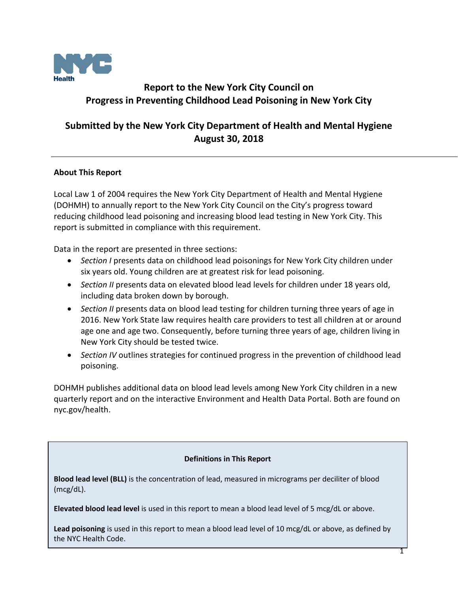

# **Report to the New York City Council on Progress in Preventing Childhood Lead Poisoning in New York City**

# **Submitted by the New York City Department of Health and Mental Hygiene August 30, 2018**

## **About This Report**

Local Law 1 of 2004 requires the New York City Department of Health and Mental Hygiene (DOHMH) to annually report to the New York City Council on the City's progress toward reducing childhood lead poisoning and increasing blood lead testing in New York City. This report is submitted in compliance with this requirement.

Data in the report are presented in three sections:

- *Section I* presents data on childhood lead poisonings for New York City children under six years old. Young children are at greatest risk for lead poisoning.
- *Section II* presents data on elevated blood lead levels for children under 18 years old, including data broken down by borough.
- *Section II* presents data on blood lead testing for children turning three years of age in 2016. New York State law requires health care providers to test all children at or around age one and age two. Consequently, before turning three years of age, children living in New York City should be tested twice.
- *Section IV* outlines strategies for continued progress in the prevention of childhood lead poisoning.

DOHMH publishes additional data on blood lead levels among New York City children in a new quarterly report and on the interactive Environment and Health Data Portal. Both are found on nyc.gov/health.

## **Definitions in This Report**

**Blood lead level (BLL)** is the concentration of lead, measured in micrograms per deciliter of blood (mcg/dL).

**Elevated blood lead level** is used in this report to mean a blood lead level of 5 mcg/dL or above.

**Lead poisoning** is used in this report to mean a blood lead level of 10 mcg/dL or above, as defined by the NYC Health Code.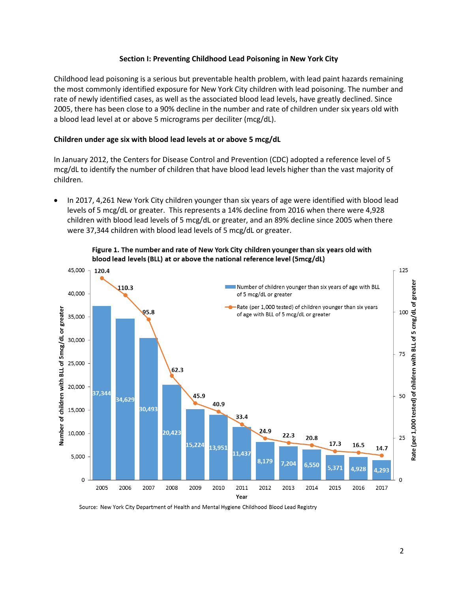#### **Section I: Preventing Childhood Lead Poisoning in New York City**

Childhood lead poisoning is a serious but preventable health problem, with lead paint hazards remaining the most commonly identified exposure for New York City children with lead poisoning. The number and rate of newly identified cases, as well as the associated blood lead levels, have greatly declined. Since 2005, there has been close to a 90% decline in the number and rate of children under six years old with a blood lead level at or above 5 micrograms per deciliter (mcg/dL).

#### **Children under age six with blood lead levels at or above 5 mcg/dL**

In January 2012, the Centers for Disease Control and Prevention (CDC) adopted a reference level of 5 mcg/dL to identify the number of children that have blood lead levels higher than the vast majority of children.

• In 2017, 4,261 New York City children younger than six years of age were identified with blood lead levels of 5 mcg/dL or greater. This represents a 14% decline from 2016 when there were 4,928 children with blood lead levels of 5 mcg/dL or greater, and an 89% decline since 2005 when there were 37,344 children with blood lead levels of 5 mcg/dL or greater.



Figure 1. The number and rate of New York City children younger than six years old with blood lead levels (BLL) at or above the national reference level (5mcg/dL)

Source: New York City Department of Health and Mental Hygiene Childhood Blood Lead Registry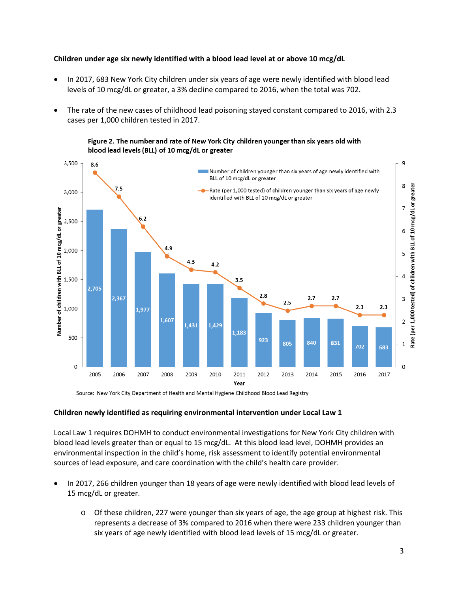#### **Children under age six newly identified with a blood lead level at or above 10 mcg/dL**

- In 2017, 683 New York City children under six years of age were newly identified with blood lead levels of 10 mcg/dL or greater, a 3% decline compared to 2016, when the total was 702.
- The rate of the new cases of childhood lead poisoning stayed constant compared to 2016, with 2.3 cases per 1,000 children tested in 2017.

Figure 2. The number and rate of New York City children younger than six years old with blood lead levels (BLL) of 10 mcg/dL or greater



Source: New York City Department of Health and Mental Hygiene Childhood Blood Lead Registry

#### **Children newly identified as requiring environmental intervention under Local Law 1**

Local Law 1 requires DOHMH to conduct environmental investigations for New York City children with blood lead levels greater than or equal to 15 mcg/dL. At this blood lead level, DOHMH provides an environmental inspection in the child's home, risk assessment to identify potential environmental sources of lead exposure, and care coordination with the child's health care provider.

- In 2017, 266 children younger than 18 years of age were newly identified with blood lead levels of 15 mcg/dL or greater.
	- o Of these children, 227 were younger than six years of age, the age group at highest risk. This represents a decrease of 3% compared to 2016 when there were 233 children younger than six years of age newly identified with blood lead levels of 15 mcg/dL or greater.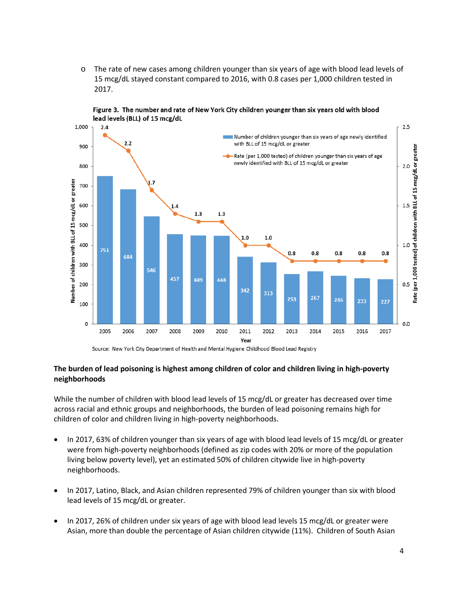o The rate of new cases among children younger than six years of age with blood lead levels of 15 mcg/dL stayed constant compared to 2016, with 0.8 cases per 1,000 children tested in 2017.





Source: New York City Department of Health and Mental Hygiene Childhood Blood Lead Registry

### **The burden of lead poisoning is highest among children of color and children living in high-poverty neighborhoods**

While the number of children with blood lead levels of 15 mcg/dL or greater has decreased over time across racial and ethnic groups and neighborhoods, the burden of lead poisoning remains high for children of color and children living in high-poverty neighborhoods.

- In 2017, 63% of children younger than six years of age with blood lead levels of 15 mcg/dL or greater were from high-poverty neighborhoods (defined as zip codes with 20% or more of the population living below poverty level), yet an estimated 50% of children citywide live in high-poverty neighborhoods.
- In 2017, Latino, Black, and Asian children represented 79% of children younger than six with blood lead levels of 15 mcg/dL or greater.
- In 2017, 26% of children under six years of age with blood lead levels 15 mcg/dL or greater were Asian, more than double the percentage of Asian children citywide (11%). Children of South Asian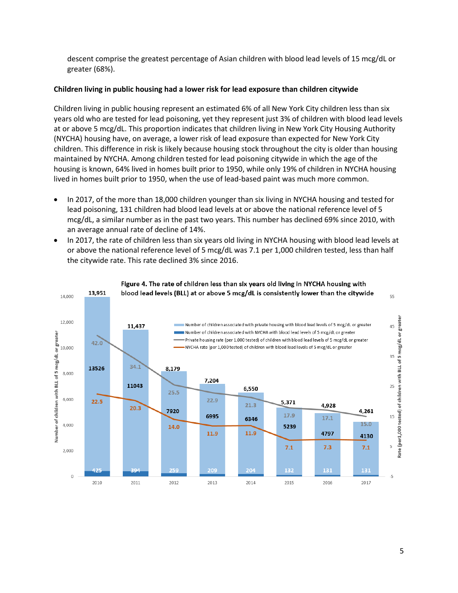descent comprise the greatest percentage of Asian children with blood lead levels of 15 mcg/dL or greater (68%).

### **Children living in public housing had a lower risk for lead exposure than children citywide**

Children living in public housing represent an estimated 6% of all New York City children less than six years old who are tested for lead poisoning, yet they represent just 3% of children with blood lead levels at or above 5 mcg/dL. This proportion indicates that children living in New York City Housing Authority (NYCHA) housing have, on average, a lower risk of lead exposure than expected for New York City children. This difference in risk is likely because housing stock throughout the city is older than housing maintained by NYCHA. Among children tested for lead poisoning citywide in which the age of the housing is known, 64% lived in homes built prior to 1950, while only 19% of children in NYCHA housing lived in homes built prior to 1950, when the use of lead-based paint was much more common.

- In 2017, of the more than 18,000 children younger than six living in NYCHA housing and tested for lead poisoning, 131 children had blood lead levels at or above the national reference level of 5 mcg/dL, a similar number as in the past two years. This number has declined 69% since 2010, with an average annual rate of decline of 14%.
- In 2017, the rate of children less than six years old living in NYCHA housing with blood lead levels at or above the national reference level of 5 mcg/dL was 7.1 per 1,000 children tested, less than half the citywide rate. This rate declined 3% since 2016.



Figure 4. The rate of children less than six years old living in NYCHA housing with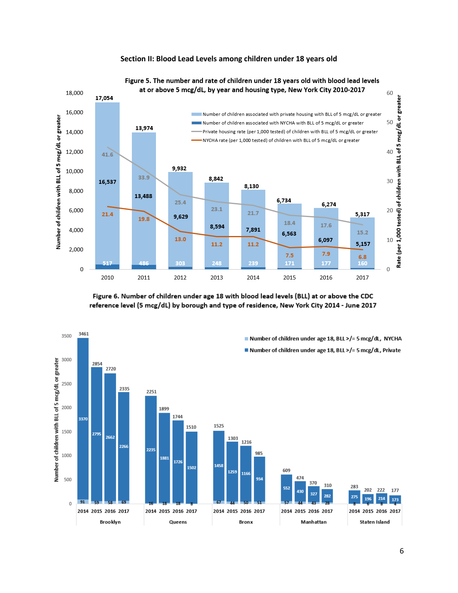#### **Section II: Blood Lead Levels among children under 18 years old**



# Figure 5. The number and rate of children under 18 years old with blood lead levels

Figure 6. Number of children under age 18 with blood lead levels (BLL) at or above the CDC reference level (5 mcg/dL) by borough and type of residence, New York City 2014 - June 2017

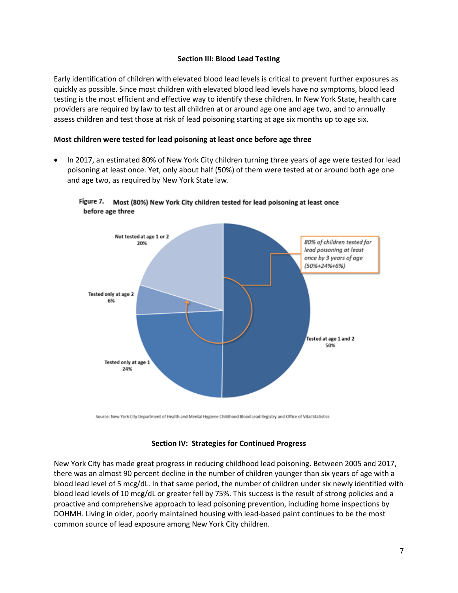#### **Section III: Blood Lead Testing**

Early identification of children with elevated blood lead levels is critical to prevent further exposures as quickly as possible. Since most children with elevated blood lead levels have no symptoms, blood lead testing is the most efficient and effective way to identify these children. In New York State, health care providers are required by law to test all children at or around age one and age two, and to annually assess children and test those at risk of lead poisoning starting at age six months up to age six.

#### **Most children were tested for lead poisoning at least once before age three**

• In 2017, an estimated 80% of New York City children turning three years of age were tested for lead poisoning at least once. Yet, only about half (50%) of them were tested at or around both age one and age two, as required by New York State law.



Figure 7. Most (80%) New York City children tested for lead poisoning at least once before age three

Source: New York City Department of Health and Mental Hygiene Childhood Blood Lead Registry and Office of Vital Statistics

#### **Section IV: Strategies for Continued Progress**

New York City has made great progress in reducing childhood lead poisoning. Between 2005 and 2017, there was an almost 90 percent decline in the number of children younger than six years of age with a blood lead level of 5 mcg/dL. In that same period, the number of children under six newly identified with blood lead levels of 10 mcg/dL or greater fell by 75%. This success is the result of strong policies and a proactive and comprehensive approach to lead poisoning prevention, including home inspections by DOHMH. Living in older, poorly maintained housing with lead-based paint continues to be the most common source of lead exposure among New York City children.